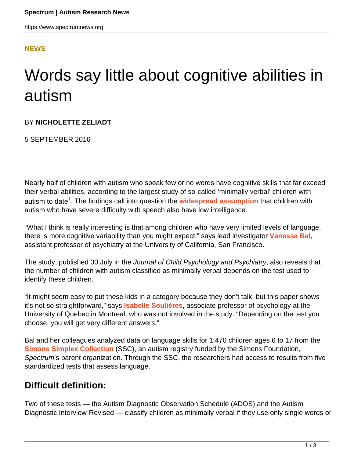### **[NEWS](HTTPS://WWW.SPECTRUMNEWS.ORG/NEWS/)**

# Words say little about cognitive abilities in autism

#### BY **NICHOLETTE ZELIADT**

5 SEPTEMBER 2016

Nearly half of children with autism who speak few or no words have cognitive skills that far exceed their verbal abilities, according to the largest study of so-called 'minimally verbal' children with autism to date**<sup>1</sup>** . The findings call into question the **[widespread assumption](https://www.spectrumnews.org/features/deep-dive/the-measure-of-a-life/)** that children with autism who have severe difficulty with speech also have low intelligence.

"What I think is really interesting is that among children who have very limited levels of language, there is more cognitive variability than you might expect," says lead investigator **[Vanessa Bal](http://profiles.ucsf.edu/vanessa.bal)**, assistant professor of psychiatry at the University of California, San Francisco.

The study, published 30 July in the Journal of Child Psychology and Psychiatry, also reveals that the number of children with autism classified as minimally verbal depends on the test used to identify these children.

"It might seem easy to put these kids in a category because they don't talk, but this paper shows it's not so straightforward," says **[Isabelle Soulières](http://professeurs.uqam.ca/component/savrepertoireprofesseurs/ficheProfesseur?mId=SgNrnsiefrc_)**, associate professor of psychology at the University of Quebec in Montreal, who was not involved in the study. "Depending on the test you choose, you will get very different answers."

Bal and her colleagues analyzed data on language skills for 1,470 children ages 6 to 17 from the **[Simons Simplex Collection](https://sfari.org/resources/autism-cohorts/simons-simplex-collection)** (SSC), an autism registry funded by the Simons Foundation, Spectrum's parent organization. Through the SSC, the researchers had access to results from five standardized tests that assess language.

## **Difficult definition:**

Two of these tests — the Autism Diagnostic Observation Schedule (ADOS) and the Autism Diagnostic Interview-Revised — classify children as minimally verbal if they use only single words or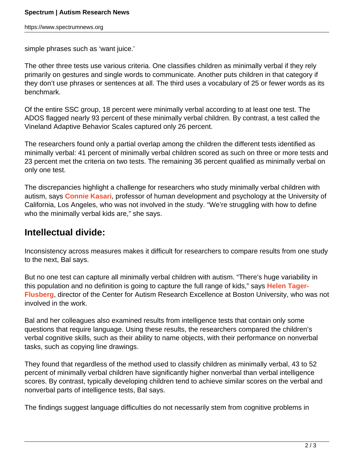simple phrases such as 'want juice.'

The other three tests use various criteria. One classifies children as minimally verbal if they rely primarily on gestures and single words to communicate. Another puts children in that category if they don't use phrases or sentences at all. The third uses a vocabulary of 25 or fewer words as its benchmark.

Of the entire SSC group, 18 percent were minimally verbal according to at least one test. The ADOS flagged nearly 93 percent of these minimally verbal children. By contrast, a test called the Vineland Adaptive Behavior Scales captured only 26 percent.

The researchers found only a partial overlap among the children the different tests identified as minimally verbal: 41 percent of minimally verbal children scored as such on three or more tests and 23 percent met the criteria on two tests. The remaining 36 percent qualified as minimally verbal on only one test.

The discrepancies highlight a challenge for researchers who study minimally verbal children with autism, says **[Connie Kasari](https://www.spectrumnews.org/author/conniekasari/)**, professor of human development and psychology at the University of California, Los Angeles, who was not involved in the study. "We're struggling with how to define who the minimally verbal kids are," she says.

## **Intellectual divide:**

Inconsistency across measures makes it difficult for researchers to compare results from one study to the next, Bal says.

But no one test can capture all minimally verbal children with autism. "There's huge variability in this population and no definition is going to capture the full range of kids," says **[Helen Tager-](https://www.spectrumnews.org/news/profiles/helen-tager-flusberg-decoding-the-language-of-autism/)[Flusberg](https://www.spectrumnews.org/news/profiles/helen-tager-flusberg-decoding-the-language-of-autism/)**, director of the Center for Autism Research Excellence at Boston University, who was not involved in the work.

Bal and her colleagues also examined results from intelligence tests that contain only some questions that require language. Using these results, the researchers compared the children's verbal cognitive skills, such as their ability to name objects, with their performance on nonverbal tasks, such as copying line drawings.

They found that regardless of the method used to classify children as minimally verbal, 43 to 52 percent of minimally verbal children have significantly higher nonverbal than verbal intelligence scores. By contrast, typically developing children tend to achieve similar scores on the verbal and nonverbal parts of intelligence tests, Bal says.

The findings suggest language difficulties do not necessarily stem from cognitive problems in